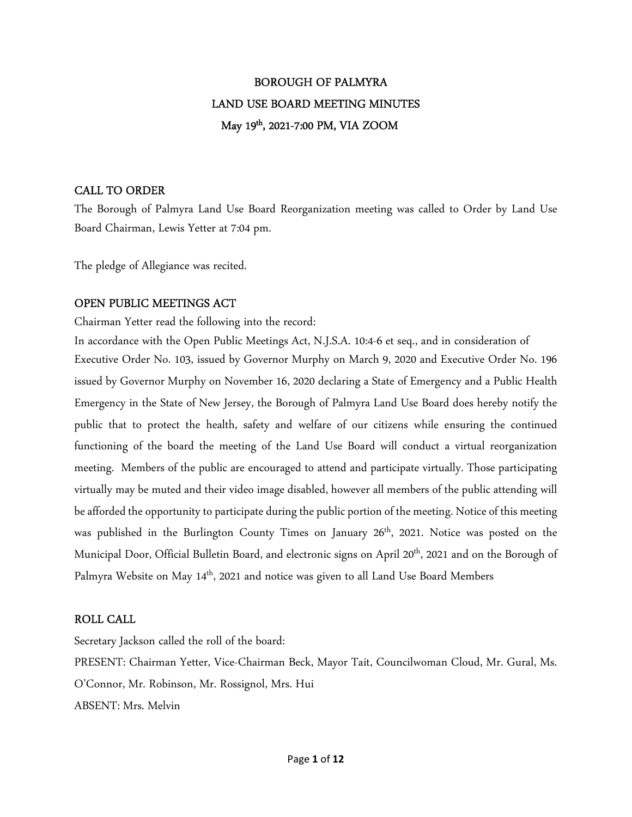# BOROUGH OF PALMYRA LAND USE BOARD MEETING MINUTES May 19th, 2021-7:00 PM, VIA ZOOM

## CALL TO ORDER

The Borough of Palmyra Land Use Board Reorganization meeting was called to Order by Land Use Board Chairman, Lewis Yetter at 7:04 pm.

The pledge of Allegiance was recited.

## OPEN PUBLIC MEETINGS ACT

Chairman Yetter read the following into the record:

In accordance with the Open Public Meetings Act, N.J.S.A. 10:4-6 et seq., and in consideration of Executive Order No. 103, issued by Governor Murphy on March 9, 2020 and Executive Order No. 196 issued by Governor Murphy on November 16, 2020 declaring a State of Emergency and a Public Health Emergency in the State of New Jersey, the Borough of Palmyra Land Use Board does hereby notify the public that to protect the health, safety and welfare of our citizens while ensuring the continued functioning of the board the meeting of the Land Use Board will conduct a virtual reorganization meeting. Members of the public are encouraged to attend and participate virtually. Those participating virtually may be muted and their video image disabled, however all members of the public attending will be afforded the opportunity to participate during the public portion of the meeting. Notice of this meeting was published in the Burlington County Times on January 26<sup>th</sup>, 2021. Notice was posted on the Municipal Door, Official Bulletin Board, and electronic signs on April 20<sup>th</sup>, 2021 and on the Borough of Palmyra Website on May 14<sup>th</sup>, 2021 and notice was given to all Land Use Board Members

## ROLL CALL

Secretary Jackson called the roll of the board: PRESENT: Chairman Yetter, Vice-Chairman Beck, Mayor Tait, Councilwoman Cloud, Mr. Gural, Ms. O'Connor, Mr. Robinson, Mr. Rossignol, Mrs. Hui ABSENT: Mrs. Melvin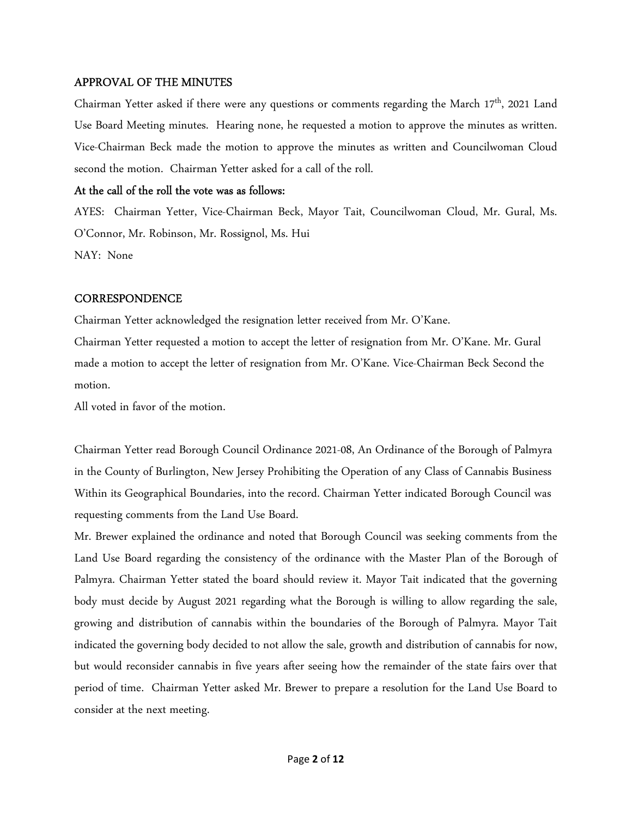#### APPROVAL OF THE MINUTES

Chairman Yetter asked if there were any questions or comments regarding the March 17<sup>th</sup>, 2021 Land Use Board Meeting minutes. Hearing none, he requested a motion to approve the minutes as written. Vice-Chairman Beck made the motion to approve the minutes as written and Councilwoman Cloud second the motion. Chairman Yetter asked for a call of the roll.

#### At the call of the roll the vote was as follows:

AYES: Chairman Yetter, Vice-Chairman Beck, Mayor Tait, Councilwoman Cloud, Mr. Gural, Ms. O'Connor, Mr. Robinson, Mr. Rossignol, Ms. Hui NAY: None

#### **CORRESPONDENCE**

Chairman Yetter acknowledged the resignation letter received from Mr. O'Kane.

Chairman Yetter requested a motion to accept the letter of resignation from Mr. O'Kane. Mr. Gural made a motion to accept the letter of resignation from Mr. O'Kane. Vice-Chairman Beck Second the motion.

All voted in favor of the motion.

Chairman Yetter read Borough Council Ordinance 2021-08, An Ordinance of the Borough of Palmyra in the County of Burlington, New Jersey Prohibiting the Operation of any Class of Cannabis Business Within its Geographical Boundaries, into the record. Chairman Yetter indicated Borough Council was requesting comments from the Land Use Board.

Mr. Brewer explained the ordinance and noted that Borough Council was seeking comments from the Land Use Board regarding the consistency of the ordinance with the Master Plan of the Borough of Palmyra. Chairman Yetter stated the board should review it. Mayor Tait indicated that the governing body must decide by August 2021 regarding what the Borough is willing to allow regarding the sale, growing and distribution of cannabis within the boundaries of the Borough of Palmyra. Mayor Tait indicated the governing body decided to not allow the sale, growth and distribution of cannabis for now, but would reconsider cannabis in five years after seeing how the remainder of the state fairs over that period of time. Chairman Yetter asked Mr. Brewer to prepare a resolution for the Land Use Board to consider at the next meeting.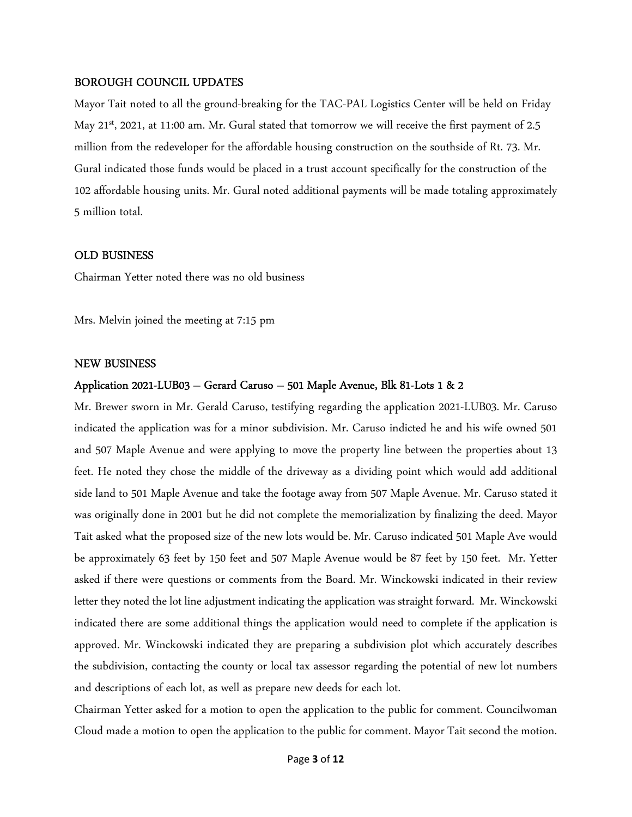#### BOROUGH COUNCIL UPDATES

Mayor Tait noted to all the ground-breaking for the TAC-PAL Logistics Center will be held on Friday May 21<sup>st</sup>, 2021, at 11:00 am. Mr. Gural stated that tomorrow we will receive the first payment of 2.5 million from the redeveloper for the affordable housing construction on the southside of Rt. 73. Mr. Gural indicated those funds would be placed in a trust account specifically for the construction of the 102 affordable housing units. Mr. Gural noted additional payments will be made totaling approximately 5 million total.

#### OLD BUSINESS

Chairman Yetter noted there was no old business

Mrs. Melvin joined the meeting at 7:15 pm

#### NEW BUSINESS

#### Application 2021-LUB03 – Gerard Caruso – 501 Maple Avenue, Blk 81-Lots 1 & 2

Mr. Brewer sworn in Mr. Gerald Caruso, testifying regarding the application 2021-LUB03. Mr. Caruso indicated the application was for a minor subdivision. Mr. Caruso indicted he and his wife owned 501 and 507 Maple Avenue and were applying to move the property line between the properties about 13 feet. He noted they chose the middle of the driveway as a dividing point which would add additional side land to 501 Maple Avenue and take the footage away from 507 Maple Avenue. Mr. Caruso stated it was originally done in 2001 but he did not complete the memorialization by finalizing the deed. Mayor Tait asked what the proposed size of the new lots would be. Mr. Caruso indicated 501 Maple Ave would be approximately 63 feet by 150 feet and 507 Maple Avenue would be 87 feet by 150 feet. Mr. Yetter asked if there were questions or comments from the Board. Mr. Winckowski indicated in their review letter they noted the lot line adjustment indicating the application was straight forward. Mr. Winckowski indicated there are some additional things the application would need to complete if the application is approved. Mr. Winckowski indicated they are preparing a subdivision plot which accurately describes the subdivision, contacting the county or local tax assessor regarding the potential of new lot numbers and descriptions of each lot, as well as prepare new deeds for each lot.

Chairman Yetter asked for a motion to open the application to the public for comment. Councilwoman Cloud made a motion to open the application to the public for comment. Mayor Tait second the motion.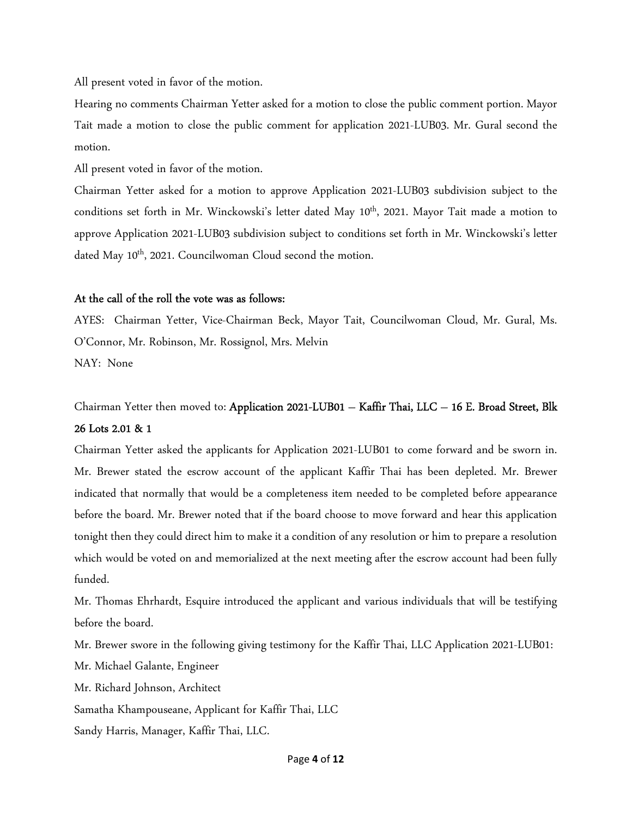All present voted in favor of the motion.

Hearing no comments Chairman Yetter asked for a motion to close the public comment portion. Mayor Tait made a motion to close the public comment for application 2021-LUB03. Mr. Gural second the motion.

All present voted in favor of the motion.

Chairman Yetter asked for a motion to approve Application 2021-LUB03 subdivision subject to the conditions set forth in Mr. Winckowski's letter dated May 10<sup>th</sup>, 2021. Mayor Tait made a motion to approve Application 2021-LUB03 subdivision subject to conditions set forth in Mr. Winckowski's letter dated May 10<sup>th</sup>, 2021. Councilwoman Cloud second the motion.

#### At the call of the roll the vote was as follows:

AYES: Chairman Yetter, Vice-Chairman Beck, Mayor Tait, Councilwoman Cloud, Mr. Gural, Ms. O'Connor, Mr. Robinson, Mr. Rossignol, Mrs. Melvin NAY: None

## Chairman Yetter then moved to: Application 2021-LUB01 – Kaffir Thai, LLC – 16 E. Broad Street, Blk 26 Lots 2.01 & 1

Chairman Yetter asked the applicants for Application 2021-LUB01 to come forward and be sworn in. Mr. Brewer stated the escrow account of the applicant Kaffir Thai has been depleted. Mr. Brewer indicated that normally that would be a completeness item needed to be completed before appearance before the board. Mr. Brewer noted that if the board choose to move forward and hear this application tonight then they could direct him to make it a condition of any resolution or him to prepare a resolution which would be voted on and memorialized at the next meeting after the escrow account had been fully funded.

Mr. Thomas Ehrhardt, Esquire introduced the applicant and various individuals that will be testifying before the board.

Mr. Brewer swore in the following giving testimony for the Kaffir Thai, LLC Application 2021-LUB01:

Mr. Michael Galante, Engineer

Mr. Richard Johnson, Architect

Samatha Khampouseane, Applicant for Kaffir Thai, LLC

Sandy Harris, Manager, Kaffir Thai, LLC.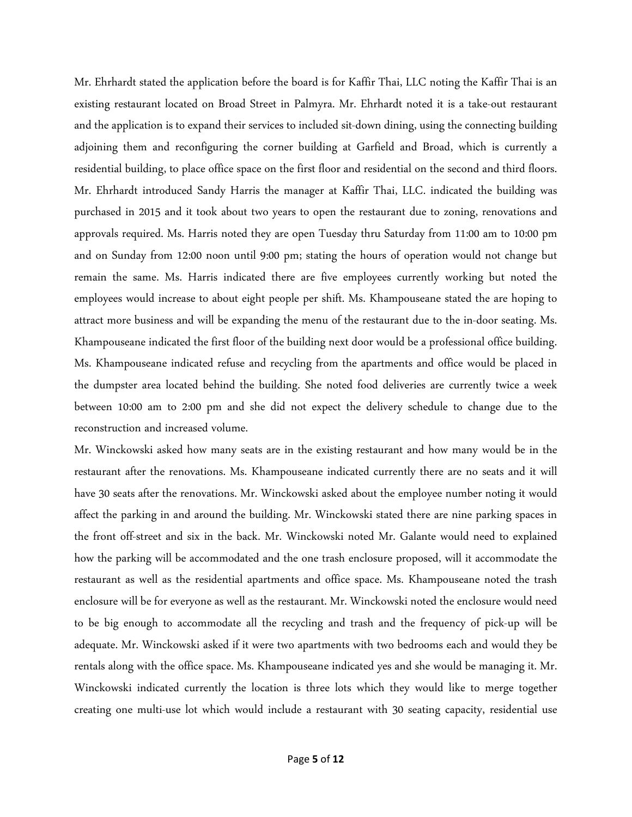Mr. Ehrhardt stated the application before the board is for Kaffir Thai, LLC noting the Kaffir Thai is an existing restaurant located on Broad Street in Palmyra. Mr. Ehrhardt noted it is a take-out restaurant and the application is to expand their services to included sit-down dining, using the connecting building adjoining them and reconfiguring the corner building at Garfield and Broad, which is currently a residential building, to place office space on the first floor and residential on the second and third floors. Mr. Ehrhardt introduced Sandy Harris the manager at Kaffir Thai, LLC. indicated the building was purchased in 2015 and it took about two years to open the restaurant due to zoning, renovations and approvals required. Ms. Harris noted they are open Tuesday thru Saturday from 11:00 am to 10:00 pm and on Sunday from 12:00 noon until 9:00 pm; stating the hours of operation would not change but remain the same. Ms. Harris indicated there are five employees currently working but noted the employees would increase to about eight people per shift. Ms. Khampouseane stated the are hoping to attract more business and will be expanding the menu of the restaurant due to the in-door seating. Ms. Khampouseane indicated the first floor of the building next door would be a professional office building. Ms. Khampouseane indicated refuse and recycling from the apartments and office would be placed in the dumpster area located behind the building. She noted food deliveries are currently twice a week between 10:00 am to 2:00 pm and she did not expect the delivery schedule to change due to the reconstruction and increased volume.

Mr. Winckowski asked how many seats are in the existing restaurant and how many would be in the restaurant after the renovations. Ms. Khampouseane indicated currently there are no seats and it will have 30 seats after the renovations. Mr. Winckowski asked about the employee number noting it would affect the parking in and around the building. Mr. Winckowski stated there are nine parking spaces in the front off-street and six in the back. Mr. Winckowski noted Mr. Galante would need to explained how the parking will be accommodated and the one trash enclosure proposed, will it accommodate the restaurant as well as the residential apartments and office space. Ms. Khampouseane noted the trash enclosure will be for everyone as well as the restaurant. Mr. Winckowski noted the enclosure would need to be big enough to accommodate all the recycling and trash and the frequency of pick-up will be adequate. Mr. Winckowski asked if it were two apartments with two bedrooms each and would they be rentals along with the office space. Ms. Khampouseane indicated yes and she would be managing it. Mr. Winckowski indicated currently the location is three lots which they would like to merge together creating one multi-use lot which would include a restaurant with 30 seating capacity, residential use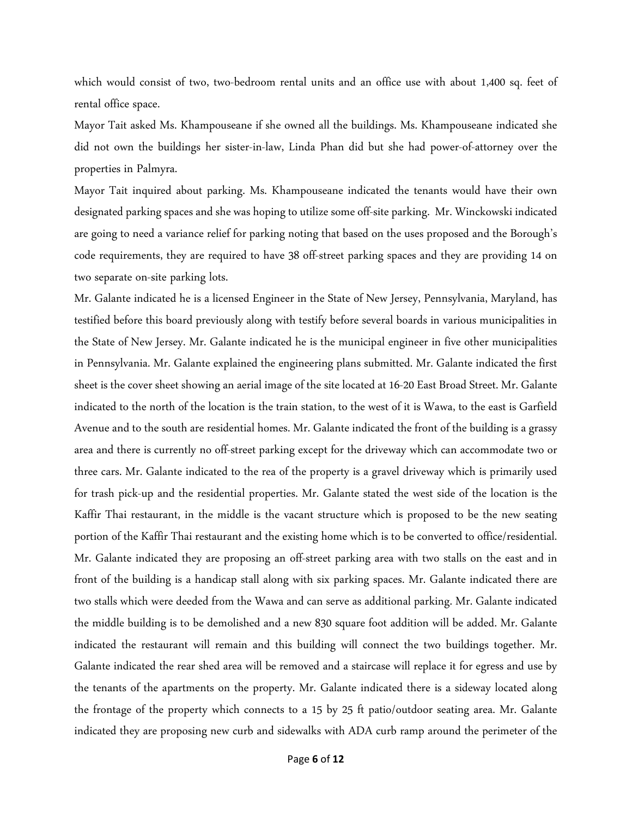which would consist of two, two-bedroom rental units and an office use with about 1,400 sq. feet of rental office space.

Mayor Tait asked Ms. Khampouseane if she owned all the buildings. Ms. Khampouseane indicated she did not own the buildings her sister-in-law, Linda Phan did but she had power-of-attorney over the properties in Palmyra.

Mayor Tait inquired about parking. Ms. Khampouseane indicated the tenants would have their own designated parking spaces and she was hoping to utilize some off-site parking. Mr. Winckowski indicated are going to need a variance relief for parking noting that based on the uses proposed and the Borough's code requirements, they are required to have 38 off-street parking spaces and they are providing 14 on two separate on-site parking lots.

Mr. Galante indicated he is a licensed Engineer in the State of New Jersey, Pennsylvania, Maryland, has testified before this board previously along with testify before several boards in various municipalities in the State of New Jersey. Mr. Galante indicated he is the municipal engineer in five other municipalities in Pennsylvania. Mr. Galante explained the engineering plans submitted. Mr. Galante indicated the first sheet is the cover sheet showing an aerial image of the site located at 16-20 East Broad Street. Mr. Galante indicated to the north of the location is the train station, to the west of it is Wawa, to the east is Garfield Avenue and to the south are residential homes. Mr. Galante indicated the front of the building is a grassy area and there is currently no off-street parking except for the driveway which can accommodate two or three cars. Mr. Galante indicated to the rea of the property is a gravel driveway which is primarily used for trash pick-up and the residential properties. Mr. Galante stated the west side of the location is the Kaffir Thai restaurant, in the middle is the vacant structure which is proposed to be the new seating portion of the Kaffir Thai restaurant and the existing home which is to be converted to office/residential. Mr. Galante indicated they are proposing an off-street parking area with two stalls on the east and in front of the building is a handicap stall along with six parking spaces. Mr. Galante indicated there are two stalls which were deeded from the Wawa and can serve as additional parking. Mr. Galante indicated the middle building is to be demolished and a new 830 square foot addition will be added. Mr. Galante indicated the restaurant will remain and this building will connect the two buildings together. Mr. Galante indicated the rear shed area will be removed and a staircase will replace it for egress and use by the tenants of the apartments on the property. Mr. Galante indicated there is a sideway located along the frontage of the property which connects to a 15 by 25 ft patio/outdoor seating area. Mr. Galante indicated they are proposing new curb and sidewalks with ADA curb ramp around the perimeter of the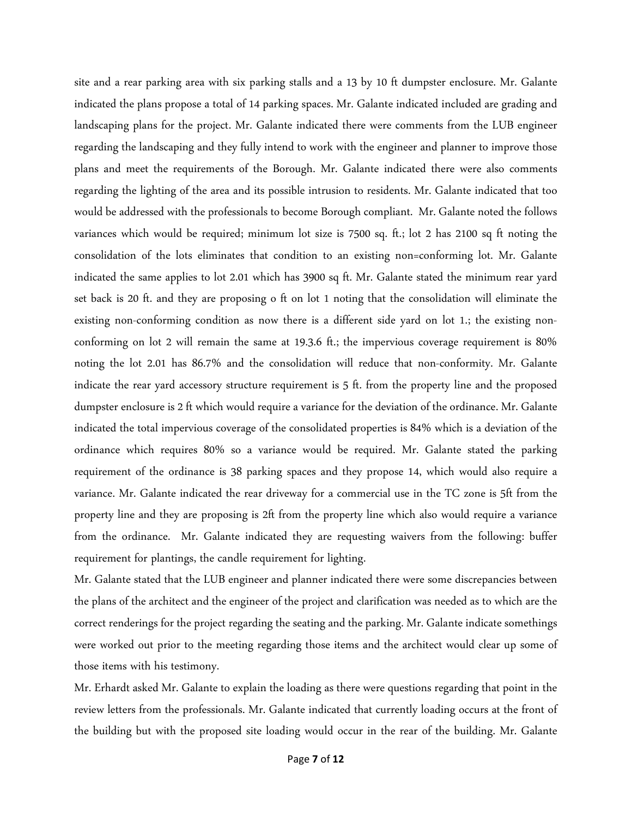site and a rear parking area with six parking stalls and a 13 by 10 ft dumpster enclosure. Mr. Galante indicated the plans propose a total of 14 parking spaces. Mr. Galante indicated included are grading and landscaping plans for the project. Mr. Galante indicated there were comments from the LUB engineer regarding the landscaping and they fully intend to work with the engineer and planner to improve those plans and meet the requirements of the Borough. Mr. Galante indicated there were also comments regarding the lighting of the area and its possible intrusion to residents. Mr. Galante indicated that too would be addressed with the professionals to become Borough compliant. Mr. Galante noted the follows variances which would be required; minimum lot size is 7500 sq. ft.; lot 2 has 2100 sq ft noting the consolidation of the lots eliminates that condition to an existing non=conforming lot. Mr. Galante indicated the same applies to lot 2.01 which has 3900 sq ft. Mr. Galante stated the minimum rear yard set back is 20 ft. and they are proposing o ft on lot 1 noting that the consolidation will eliminate the existing non-conforming condition as now there is a different side yard on lot 1.; the existing nonconforming on lot 2 will remain the same at 19.3.6 ft.; the impervious coverage requirement is 80% noting the lot 2.01 has 86.7% and the consolidation will reduce that non-conformity. Mr. Galante indicate the rear yard accessory structure requirement is 5 ft. from the property line and the proposed dumpster enclosure is 2 ft which would require a variance for the deviation of the ordinance. Mr. Galante indicated the total impervious coverage of the consolidated properties is 84% which is a deviation of the ordinance which requires 80% so a variance would be required. Mr. Galante stated the parking requirement of the ordinance is 38 parking spaces and they propose 14, which would also require a variance. Mr. Galante indicated the rear driveway for a commercial use in the TC zone is 5ft from the property line and they are proposing is 2ft from the property line which also would require a variance from the ordinance. Mr. Galante indicated they are requesting waivers from the following: buffer requirement for plantings, the candle requirement for lighting.

Mr. Galante stated that the LUB engineer and planner indicated there were some discrepancies between the plans of the architect and the engineer of the project and clarification was needed as to which are the correct renderings for the project regarding the seating and the parking. Mr. Galante indicate somethings were worked out prior to the meeting regarding those items and the architect would clear up some of those items with his testimony.

Mr. Erhardt asked Mr. Galante to explain the loading as there were questions regarding that point in the review letters from the professionals. Mr. Galante indicated that currently loading occurs at the front of the building but with the proposed site loading would occur in the rear of the building. Mr. Galante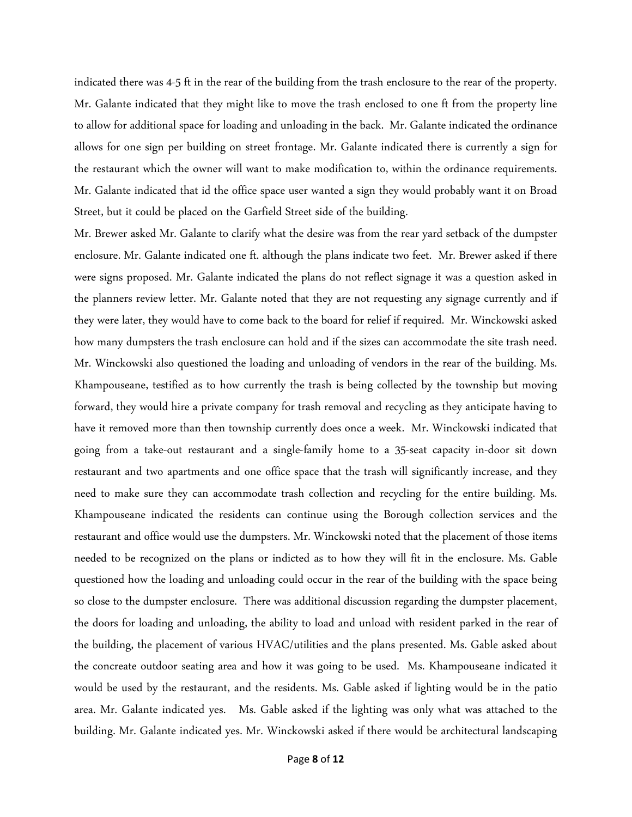indicated there was 4-5 ft in the rear of the building from the trash enclosure to the rear of the property. Mr. Galante indicated that they might like to move the trash enclosed to one ft from the property line to allow for additional space for loading and unloading in the back. Mr. Galante indicated the ordinance allows for one sign per building on street frontage. Mr. Galante indicated there is currently a sign for the restaurant which the owner will want to make modification to, within the ordinance requirements. Mr. Galante indicated that id the office space user wanted a sign they would probably want it on Broad Street, but it could be placed on the Garfield Street side of the building.

Mr. Brewer asked Mr. Galante to clarify what the desire was from the rear yard setback of the dumpster enclosure. Mr. Galante indicated one ft. although the plans indicate two feet. Mr. Brewer asked if there were signs proposed. Mr. Galante indicated the plans do not reflect signage it was a question asked in the planners review letter. Mr. Galante noted that they are not requesting any signage currently and if they were later, they would have to come back to the board for relief if required. Mr. Winckowski asked how many dumpsters the trash enclosure can hold and if the sizes can accommodate the site trash need. Mr. Winckowski also questioned the loading and unloading of vendors in the rear of the building. Ms. Khampouseane, testified as to how currently the trash is being collected by the township but moving forward, they would hire a private company for trash removal and recycling as they anticipate having to have it removed more than then township currently does once a week. Mr. Winckowski indicated that going from a take-out restaurant and a single-family home to a 35-seat capacity in-door sit down restaurant and two apartments and one office space that the trash will significantly increase, and they need to make sure they can accommodate trash collection and recycling for the entire building. Ms. Khampouseane indicated the residents can continue using the Borough collection services and the restaurant and office would use the dumpsters. Mr. Winckowski noted that the placement of those items needed to be recognized on the plans or indicted as to how they will fit in the enclosure. Ms. Gable questioned how the loading and unloading could occur in the rear of the building with the space being so close to the dumpster enclosure. There was additional discussion regarding the dumpster placement, the doors for loading and unloading, the ability to load and unload with resident parked in the rear of the building, the placement of various HVAC/utilities and the plans presented. Ms. Gable asked about the concreate outdoor seating area and how it was going to be used. Ms. Khampouseane indicated it would be used by the restaurant, and the residents. Ms. Gable asked if lighting would be in the patio area. Mr. Galante indicated yes. Ms. Gable asked if the lighting was only what was attached to the building. Mr. Galante indicated yes. Mr. Winckowski asked if there would be architectural landscaping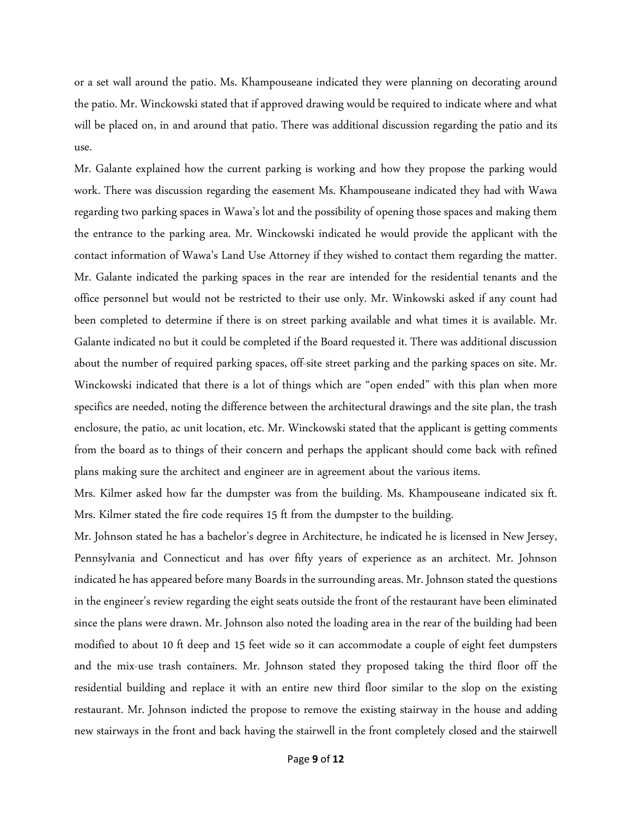or a set wall around the patio. Ms. Khampouseane indicated they were planning on decorating around the patio. Mr. Winckowski stated that if approved drawing would be required to indicate where and what will be placed on, in and around that patio. There was additional discussion regarding the patio and its use.

Mr. Galante explained how the current parking is working and how they propose the parking would work. There was discussion regarding the easement Ms. Khampouseane indicated they had with Wawa regarding two parking spaces in Wawa's lot and the possibility of opening those spaces and making them the entrance to the parking area. Mr. Winckowski indicated he would provide the applicant with the contact information of Wawa's Land Use Attorney if they wished to contact them regarding the matter. Mr. Galante indicated the parking spaces in the rear are intended for the residential tenants and the office personnel but would not be restricted to their use only. Mr. Winkowski asked if any count had been completed to determine if there is on street parking available and what times it is available. Mr. Galante indicated no but it could be completed if the Board requested it. There was additional discussion about the number of required parking spaces, off-site street parking and the parking spaces on site. Mr. Winckowski indicated that there is a lot of things which are "open ended" with this plan when more specifics are needed, noting the difference between the architectural drawings and the site plan, the trash enclosure, the patio, ac unit location, etc. Mr. Winckowski stated that the applicant is getting comments from the board as to things of their concern and perhaps the applicant should come back with refined plans making sure the architect and engineer are in agreement about the various items.

Mrs. Kilmer asked how far the dumpster was from the building. Ms. Khampouseane indicated six ft. Mrs. Kilmer stated the fire code requires 15 ft from the dumpster to the building.

Mr. Johnson stated he has a bachelor's degree in Architecture, he indicated he is licensed in New Jersey, Pennsylvania and Connecticut and has over fifty years of experience as an architect. Mr. Johnson indicated he has appeared before many Boards in the surrounding areas. Mr. Johnson stated the questions in the engineer's review regarding the eight seats outside the front of the restaurant have been eliminated since the plans were drawn. Mr. Johnson also noted the loading area in the rear of the building had been modified to about 10 ft deep and 15 feet wide so it can accommodate a couple of eight feet dumpsters and the mix-use trash containers. Mr. Johnson stated they proposed taking the third floor off the residential building and replace it with an entire new third floor similar to the slop on the existing restaurant. Mr. Johnson indicted the propose to remove the existing stairway in the house and adding new stairways in the front and back having the stairwell in the front completely closed and the stairwell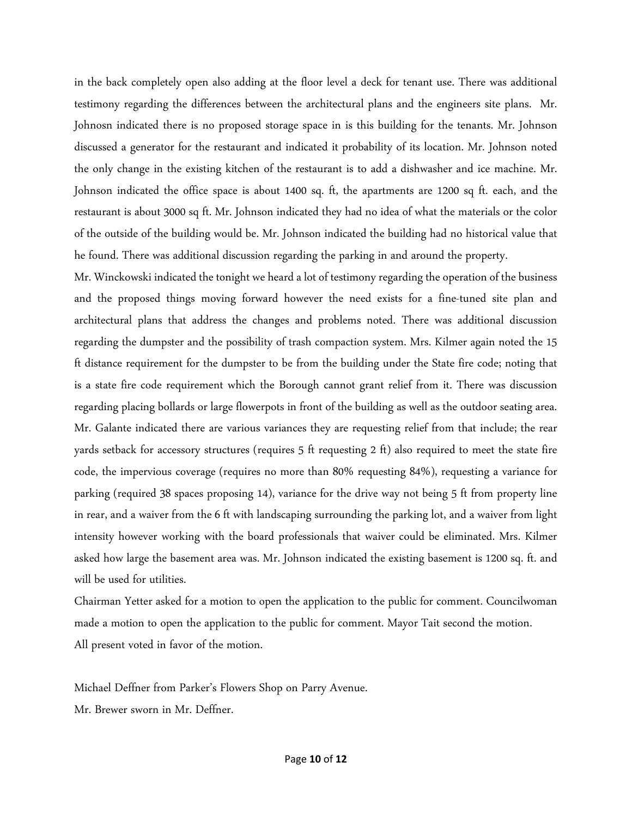in the back completely open also adding at the floor level a deck for tenant use. There was additional testimony regarding the differences between the architectural plans and the engineers site plans. Mr. Johnosn indicated there is no proposed storage space in is this building for the tenants. Mr. Johnson discussed a generator for the restaurant and indicated it probability of its location. Mr. Johnson noted the only change in the existing kitchen of the restaurant is to add a dishwasher and ice machine. Mr. Johnson indicated the office space is about 1400 sq. ft, the apartments are 1200 sq ft. each, and the restaurant is about 3000 sq ft. Mr. Johnson indicated they had no idea of what the materials or the color of the outside of the building would be. Mr. Johnson indicated the building had no historical value that he found. There was additional discussion regarding the parking in and around the property.

Mr. Winckowski indicated the tonight we heard a lot of testimony regarding the operation of the business and the proposed things moving forward however the need exists for a fine-tuned site plan and architectural plans that address the changes and problems noted. There was additional discussion regarding the dumpster and the possibility of trash compaction system. Mrs. Kilmer again noted the 15 ft distance requirement for the dumpster to be from the building under the State fire code; noting that is a state fire code requirement which the Borough cannot grant relief from it. There was discussion regarding placing bollards or large flowerpots in front of the building as well as the outdoor seating area. Mr. Galante indicated there are various variances they are requesting relief from that include; the rear yards setback for accessory structures (requires 5 ft requesting 2 ft) also required to meet the state fire code, the impervious coverage (requires no more than 80% requesting 84%), requesting a variance for parking (required 38 spaces proposing 14), variance for the drive way not being 5 ft from property line in rear, and a waiver from the 6 ft with landscaping surrounding the parking lot, and a waiver from light intensity however working with the board professionals that waiver could be eliminated. Mrs. Kilmer asked how large the basement area was. Mr. Johnson indicated the existing basement is 1200 sq. ft. and will be used for utilities.

Chairman Yetter asked for a motion to open the application to the public for comment. Councilwoman made a motion to open the application to the public for comment. Mayor Tait second the motion. All present voted in favor of the motion.

Michael Deffner from Parker's Flowers Shop on Parry Avenue.

Mr. Brewer sworn in Mr. Deffner.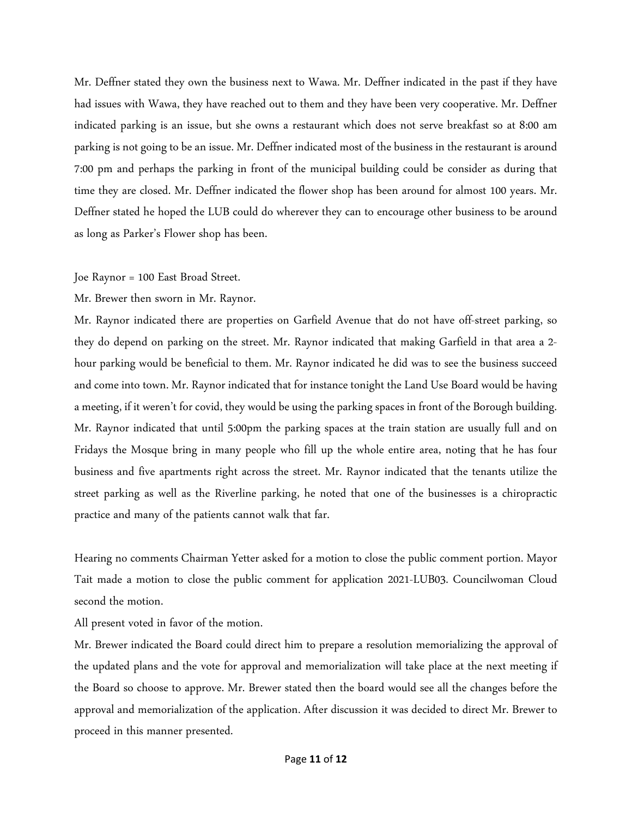Mr. Deffner stated they own the business next to Wawa. Mr. Deffner indicated in the past if they have had issues with Wawa, they have reached out to them and they have been very cooperative. Mr. Deffner indicated parking is an issue, but she owns a restaurant which does not serve breakfast so at 8:00 am parking is not going to be an issue. Mr. Deffner indicated most of the business in the restaurant is around 7:00 pm and perhaps the parking in front of the municipal building could be consider as during that time they are closed. Mr. Deffner indicated the flower shop has been around for almost 100 years. Mr. Deffner stated he hoped the LUB could do wherever they can to encourage other business to be around as long as Parker's Flower shop has been.

#### Joe Raynor = 100 East Broad Street.

Mr. Brewer then sworn in Mr. Raynor.

Mr. Raynor indicated there are properties on Garfield Avenue that do not have off-street parking, so they do depend on parking on the street. Mr. Raynor indicated that making Garfield in that area a 2 hour parking would be beneficial to them. Mr. Raynor indicated he did was to see the business succeed and come into town. Mr. Raynor indicated that for instance tonight the Land Use Board would be having a meeting, if it weren't for covid, they would be using the parking spaces in front of the Borough building. Mr. Raynor indicated that until 5:00pm the parking spaces at the train station are usually full and on Fridays the Mosque bring in many people who fill up the whole entire area, noting that he has four business and five apartments right across the street. Mr. Raynor indicated that the tenants utilize the street parking as well as the Riverline parking, he noted that one of the businesses is a chiropractic practice and many of the patients cannot walk that far.

Hearing no comments Chairman Yetter asked for a motion to close the public comment portion. Mayor Tait made a motion to close the public comment for application 2021-LUB03. Councilwoman Cloud second the motion.

All present voted in favor of the motion.

Mr. Brewer indicated the Board could direct him to prepare a resolution memorializing the approval of the updated plans and the vote for approval and memorialization will take place at the next meeting if the Board so choose to approve. Mr. Brewer stated then the board would see all the changes before the approval and memorialization of the application. After discussion it was decided to direct Mr. Brewer to proceed in this manner presented.